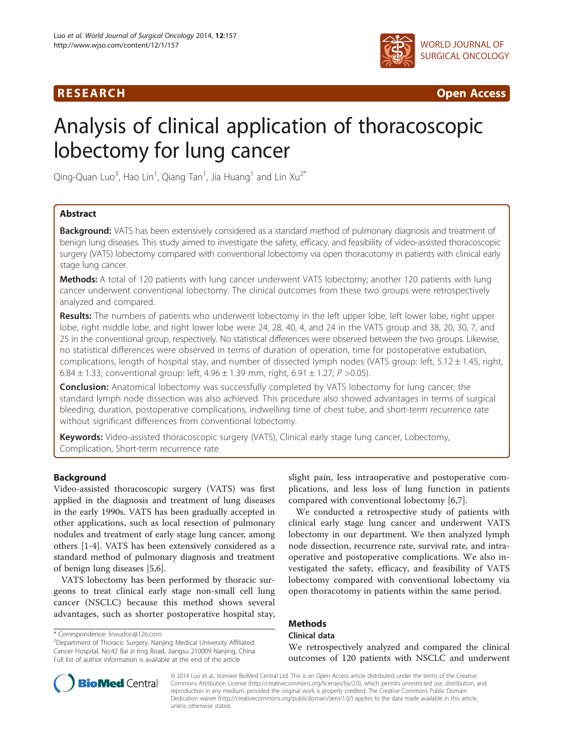# R E S EAR CH Open Access



# Analysis of clinical application of thoracoscopic lobectomy for lung cancer

Qing-Quan Luo $^3$ , Hao Lin $^1$ , Qiang Tan $^1$ , Jia Huang $^1$  and Lin Xu $^{2^\ast}$ 

# Abstract

Background: VATS has been extensively considered as a standard method of pulmonary diagnosis and treatment of benign lung diseases. This study aimed to investigate the safety, efficacy, and feasibility of video-assisted thoracoscopic surgery (VATS) lobectomy compared with conventional lobectomy via open thoracotomy in patients with clinical early stage lung cancer.

Methods: A total of 120 patients with lung cancer underwent VATS lobectomy; another 120 patients with lung cancer underwent conventional lobectomy. The clinical outcomes from these two groups were retrospectively analyzed and compared.

Results: The numbers of patients who underwent lobectomy in the left upper lobe, left lower lobe, right upper lobe, right middle lobe, and right lower lobe were 24, 28, 40, 4, and 24 in the VATS group and 38, 20, 30, 7, and 25 in the conventional group, respectively. No statistical differences were observed between the two groups. Likewise, no statistical differences were observed in terms of duration of operation, time for postoperative extubation, complications, length of hospital stay, and number of dissected lymph nodes (VATS group: left,  $5.12 \pm 1.45$ , right, 6.84  $\pm$  1.33; conventional group: left, 4.96  $\pm$  1.39 mm, right, 6.91  $\pm$  1.27; P > 0.05).

**Conclusion:** Anatomical lobectomy was successfully completed by VATS lobectomy for lung cancer; the standard lymph node dissection was also achieved. This procedure also showed advantages in terms of surgical bleeding, duration, postoperative complications, indwelling time of chest tube, and short-term recurrence rate without significant differences from conventional lobectomy.

Keywords: Video-assisted thoracoscopic surgery (VATS), Clinical early stage lung cancer, Lobectomy, Complication, Short-term recurrence rate

# Background

Video-assisted thoracoscopic surgery (VATS) was first applied in the diagnosis and treatment of lung diseases in the early 1990s. VATS has been gradually accepted in other applications, such as local resection of pulmonary nodules and treatment of early stage lung cancer, among others [[1-4](#page-4-0)]. VATS has been extensively considered as a standard method of pulmonary diagnosis and treatment of benign lung diseases [[5,6\]](#page-4-0).

VATS lobectomy has been performed by thoracic surgeons to treat clinical early stage non-small cell lung cancer (NSCLC) because this method shows several advantages, such as shorter postoperative hospital stay,

slight pain, less intraoperative and postoperative complications, and less loss of lung function in patients compared with conventional lobectomy [\[6,7](#page-4-0)].

We conducted a retrospective study of patients with clinical early stage lung cancer and underwent VATS lobectomy in our department. We then analyzed lymph node dissection, recurrence rate, survival rate, and intraoperative and postoperative complications. We also investigated the safety, efficacy, and feasibility of VATS lobectomy compared with conventional lobectomy via open thoracotomy in patients within the same period.

# Methods

# Clinical data

We retrospectively analyzed and compared the clinical outcomes of 120 patients with NSCLC and underwent



© 2014 Luo et al.; licensee BioMed Central Ltd. This is an Open Access article distributed under the terms of the Creative Commons Attribution License [\(http://creativecommons.org/licenses/by/2.0\)](http://creativecommons.org/licenses/by/2.0), which permits unrestricted use, distribution, and reproduction in any medium, provided the original work is properly credited. The Creative Commons Public Domain Dedication waiver [\(http://creativecommons.org/publicdomain/zero/1.0/](http://creativecommons.org/publicdomain/zero/1.0/)) applies to the data made available in this article, unless otherwise stated.

<sup>\*</sup> Correspondence: [linxudoc@126.com](mailto:linxudoc@126.com) <sup>2</sup>

<sup>&</sup>lt;sup>2</sup>Department of Thoracic Surgery, Nanjing Medical University Affiliated Cancer Hospital, No.42 Bai zi ting Road, Jiangsu 210009 Nanjing, China Full list of author information is available at the end of the article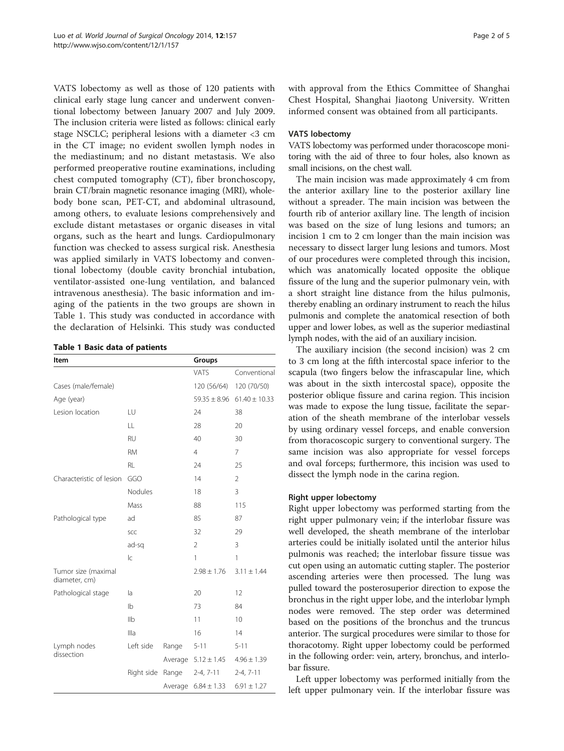VATS lobectomy as well as those of 120 patients with clinical early stage lung cancer and underwent conventional lobectomy between January 2007 and July 2009. The inclusion criteria were listed as follows: clinical early stage NSCLC; peripheral lesions with a diameter <3 cm in the CT image; no evident swollen lymph nodes in the mediastinum; and no distant metastasis. We also performed preoperative routine examinations, including chest computed tomography (CT), fiber bronchoscopy, brain CT/brain magnetic resonance imaging (MRI), wholebody bone scan, PET-CT, and abdominal ultrasound, among others, to evaluate lesions comprehensively and exclude distant metastases or organic diseases in vital organs, such as the heart and lungs. Cardiopulmonary function was checked to assess surgical risk. Anesthesia was applied similarly in VATS lobectomy and conventional lobectomy (double cavity bronchial intubation, ventilator-assisted one-lung ventilation, and balanced intravenous anesthesia). The basic information and imaging of the patients in the two groups are shown in Table 1. This study was conducted in accordance with the declaration of Helsinki. This study was conducted

|  |  |  |  |  | <b>Table 1 Basic data of patients</b> |
|--|--|--|--|--|---------------------------------------|
|--|--|--|--|--|---------------------------------------|

| Item                                 | Groups         |         |                  |                   |  |
|--------------------------------------|----------------|---------|------------------|-------------------|--|
|                                      |                |         | <b>VATS</b>      | Conventional      |  |
| Cases (male/female)                  |                |         | 120 (56/64)      | 120 (70/50)       |  |
| Age (year)                           |                |         | $59.35 \pm 8.96$ | $61.40 \pm 10.33$ |  |
| Lesion location                      | LU             |         | 24               | 38                |  |
|                                      | LL             |         | 28               | 20                |  |
|                                      | <b>RU</b>      |         | 40               | 30                |  |
|                                      | <b>RM</b>      |         | $\overline{4}$   | 7                 |  |
|                                      | <b>RL</b>      |         | 24               | 25                |  |
| Characteristic of lesion             | GGO            |         | 14               | $\mathfrak{D}$    |  |
|                                      | <b>Nodules</b> |         | 18               | 3                 |  |
|                                      | Mass           |         | 88               | 115               |  |
| Pathological type                    | ad             |         | 85               | 87                |  |
|                                      | SCC            |         | 32               | 29                |  |
|                                      | ad-sq          |         | $\overline{2}$   | 3                 |  |
|                                      | Ic             |         | 1                | 1                 |  |
| Tumor size (maximal<br>diameter, cm) |                |         | $2.98 \pm 1.76$  | $3.11 \pm 1.44$   |  |
| Pathological stage                   | la             |         | 20               | 12                |  |
|                                      | I <sub>b</sub> |         | 73               | 84                |  |
|                                      | IIb            |         | 11               | 10                |  |
|                                      | Illa           |         | 16               | 14                |  |
| Lymph nodes                          | Left side      | Range   | $5 - 11$         | $5 - 11$          |  |
| dissection                           |                | Average | $5.12 \pm 1.45$  | $4.96 \pm 1.39$   |  |
|                                      | Right side     | Range   | $2-4, 7-11$      | $2-4, 7-11$       |  |
|                                      |                | Average | $6.84 \pm 1.33$  | $6.91 \pm 1.27$   |  |

with approval from the Ethics Committee of Shanghai Chest Hospital, Shanghai Jiaotong University. Written informed consent was obtained from all participants.

#### VATS lobectomy

VATS lobectomy was performed under thoracoscope monitoring with the aid of three to four holes, also known as small incisions, on the chest wall.

The main incision was made approximately 4 cm from the anterior axillary line to the posterior axillary line without a spreader. The main incision was between the fourth rib of anterior axillary line. The length of incision was based on the size of lung lesions and tumors; an incision 1 cm to 2 cm longer than the main incision was necessary to dissect larger lung lesions and tumors. Most of our procedures were completed through this incision, which was anatomically located opposite the oblique fissure of the lung and the superior pulmonary vein, with a short straight line distance from the hilus pulmonis, thereby enabling an ordinary instrument to reach the hilus pulmonis and complete the anatomical resection of both upper and lower lobes, as well as the superior mediastinal lymph nodes, with the aid of an auxiliary incision.

The auxiliary incision (the second incision) was 2 cm to 3 cm long at the fifth intercostal space inferior to the scapula (two fingers below the infrascapular line, which was about in the sixth intercostal space), opposite the posterior oblique fissure and carina region. This incision was made to expose the lung tissue, facilitate the separation of the sheath membrane of the interlobar vessels by using ordinary vessel forceps, and enable conversion from thoracoscopic surgery to conventional surgery. The same incision was also appropriate for vessel forceps and oval forceps; furthermore, this incision was used to dissect the lymph node in the carina region.

#### Right upper lobectomy

Right upper lobectomy was performed starting from the right upper pulmonary vein; if the interlobar fissure was well developed, the sheath membrane of the interlobar arteries could be initially isolated until the anterior hilus pulmonis was reached; the interlobar fissure tissue was cut open using an automatic cutting stapler. The posterior ascending arteries were then processed. The lung was pulled toward the posterosuperior direction to expose the bronchus in the right upper lobe, and the interlobar lymph nodes were removed. The step order was determined based on the positions of the bronchus and the truncus anterior. The surgical procedures were similar to those for thoracotomy. Right upper lobectomy could be performed in the following order: vein, artery, bronchus, and interlobar fissure.

Left upper lobectomy was performed initially from the left upper pulmonary vein. If the interlobar fissure was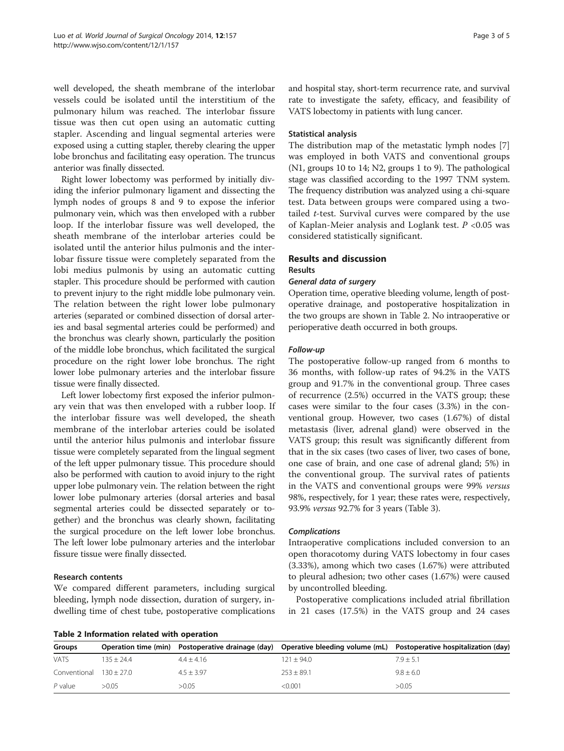well developed, the sheath membrane of the interlobar vessels could be isolated until the interstitium of the pulmonary hilum was reached. The interlobar fissure tissue was then cut open using an automatic cutting stapler. Ascending and lingual segmental arteries were exposed using a cutting stapler, thereby clearing the upper lobe bronchus and facilitating easy operation. The truncus anterior was finally dissected.

Right lower lobectomy was performed by initially dividing the inferior pulmonary ligament and dissecting the lymph nodes of groups 8 and 9 to expose the inferior pulmonary vein, which was then enveloped with a rubber loop. If the interlobar fissure was well developed, the sheath membrane of the interlobar arteries could be isolated until the anterior hilus pulmonis and the interlobar fissure tissue were completely separated from the lobi medius pulmonis by using an automatic cutting stapler. This procedure should be performed with caution to prevent injury to the right middle lobe pulmonary vein. The relation between the right lower lobe pulmonary arteries (separated or combined dissection of dorsal arteries and basal segmental arteries could be performed) and the bronchus was clearly shown, particularly the position of the middle lobe bronchus, which facilitated the surgical procedure on the right lower lobe bronchus. The right lower lobe pulmonary arteries and the interlobar fissure tissue were finally dissected.

Left lower lobectomy first exposed the inferior pulmonary vein that was then enveloped with a rubber loop. If the interlobar fissure was well developed, the sheath membrane of the interlobar arteries could be isolated until the anterior hilus pulmonis and interlobar fissure tissue were completely separated from the lingual segment of the left upper pulmonary tissue. This procedure should also be performed with caution to avoid injury to the right upper lobe pulmonary vein. The relation between the right lower lobe pulmonary arteries (dorsal arteries and basal segmental arteries could be dissected separately or together) and the bronchus was clearly shown, facilitating the surgical procedure on the left lower lobe bronchus. The left lower lobe pulmonary arteries and the interlobar fissure tissue were finally dissected.

#### Research contents

We compared different parameters, including surgical bleeding, lymph node dissection, duration of surgery, indwelling time of chest tube, postoperative complications and hospital stay, short-term recurrence rate, and survival rate to investigate the safety, efficacy, and feasibility of VATS lobectomy in patients with lung cancer.

# Statistical analysis

The distribution map of the metastatic lymph nodes [\[7](#page-4-0)] was employed in both VATS and conventional groups (N1, groups 10 to 14; N2, groups 1 to 9). The pathological stage was classified according to the 1997 TNM system. The frequency distribution was analyzed using a chi-square test. Data between groups were compared using a twotailed  $t$ -test. Survival curves were compared by the use of Kaplan-Meier analysis and Loglank test.  $P < 0.05$  was considered statistically significant.

# Results and discussion Results

# General data of surgery

Operation time, operative bleeding volume, length of postoperative drainage, and postoperative hospitalization in the two groups are shown in Table 2. No intraoperative or perioperative death occurred in both groups.

# Follow-up

The postoperative follow-up ranged from 6 months to 36 months, with follow-up rates of 94.2% in the VATS group and 91.7% in the conventional group. Three cases of recurrence (2.5%) occurred in the VATS group; these cases were similar to the four cases (3.3%) in the conventional group. However, two cases (1.67%) of distal metastasis (liver, adrenal gland) were observed in the VATS group; this result was significantly different from that in the six cases (two cases of liver, two cases of bone, one case of brain, and one case of adrenal gland; 5%) in the conventional group. The survival rates of patients in the VATS and conventional groups were 99% versus 98%, respectively, for 1 year; these rates were, respectively, 93.9% versus 92.7% for 3 years (Table [3](#page-3-0)).

#### Complications

Intraoperative complications included conversion to an open thoracotomy during VATS lobectomy in four cases (3.33%), among which two cases (1.67%) were attributed to pleural adhesion; two other cases (1.67%) were caused by uncontrolled bleeding.

Postoperative complications included atrial fibrillation in 21 cases (17.5%) in the VATS group and 24 cases

| Table 2 Information related with operation |  |  |  |  |  |
|--------------------------------------------|--|--|--|--|--|
|--------------------------------------------|--|--|--|--|--|

| Groups       |              |              |              | Operation time (min) Postoperative drainage (day) Operative bleeding volume (mL) Postoperative hospitalization (day) |
|--------------|--------------|--------------|--------------|----------------------------------------------------------------------------------------------------------------------|
| <b>VATS</b>  | $135 + 244$  | $4.4 + 4.16$ | $121 + 94.0$ | $7.9 + 5.1$                                                                                                          |
| Conventional | $130 + 27.0$ | $4.5 + 3.97$ | $253 + 89.1$ | $9.8 + 6.0$                                                                                                          |
| P value      | >0.05        | >0.05        | < 0.001      | >0.05                                                                                                                |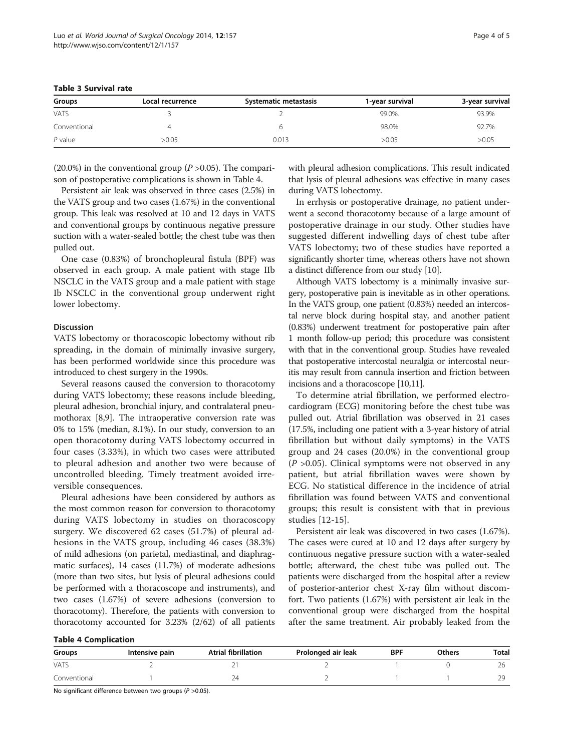#### <span id="page-3-0"></span>Table 3 Survival rate

(20.0%) in the conventional group ( $P > 0.05$ ). The comparison of postoperative complications is shown in Table 4.

Persistent air leak was observed in three cases (2.5%) in the VATS group and two cases (1.67%) in the conventional group. This leak was resolved at 10 and 12 days in VATS and conventional groups by continuous negative pressure suction with a water-sealed bottle; the chest tube was then pulled out.

One case (0.83%) of bronchopleural fistula (BPF) was observed in each group. A male patient with stage IIb NSCLC in the VATS group and a male patient with stage Ib NSCLC in the conventional group underwent right lower lobectomy.

#### Discussion

VATS lobectomy or thoracoscopic lobectomy without rib spreading, in the domain of minimally invasive surgery, has been performed worldwide since this procedure was introduced to chest surgery in the 1990s.

Several reasons caused the conversion to thoracotomy during VATS lobectomy; these reasons include bleeding, pleural adhesion, bronchial injury, and contralateral pneumothorax [[8,9\]](#page-4-0). The intraoperative conversion rate was 0% to 15% (median, 8.1%). In our study, conversion to an open thoracotomy during VATS lobectomy occurred in four cases (3.33%), in which two cases were attributed to pleural adhesion and another two were because of uncontrolled bleeding. Timely treatment avoided irreversible consequences.

Pleural adhesions have been considered by authors as the most common reason for conversion to thoracotomy during VATS lobectomy in studies on thoracoscopy surgery. We discovered 62 cases (51.7%) of pleural adhesions in the VATS group, including 46 cases (38.3%) of mild adhesions (on parietal, mediastinal, and diaphragmatic surfaces), 14 cases (11.7%) of moderate adhesions (more than two sites, but lysis of pleural adhesions could be performed with a thoracoscope and instruments), and two cases (1.67%) of severe adhesions (conversion to thoracotomy). Therefore, the patients with conversion to thoracotomy accounted for 3.23% (2/62) of all patients with pleural adhesion complications. This result indicated that lysis of pleural adhesions was effective in many cases during VATS lobectomy.

In errhysis or postoperative drainage, no patient underwent a second thoracotomy because of a large amount of postoperative drainage in our study. Other studies have suggested different indwelling days of chest tube after VATS lobectomy; two of these studies have reported a significantly shorter time, whereas others have not shown a distinct difference from our study [[10](#page-4-0)].

Although VATS lobectomy is a minimally invasive surgery, postoperative pain is inevitable as in other operations. In the VATS group, one patient (0.83%) needed an intercostal nerve block during hospital stay, and another patient (0.83%) underwent treatment for postoperative pain after 1 month follow-up period; this procedure was consistent with that in the conventional group. Studies have revealed that postoperative intercostal neuralgia or intercostal neuritis may result from cannula insertion and friction between incisions and a thoracoscope [[10,11\]](#page-4-0).

To determine atrial fibrillation, we performed electrocardiogram (ECG) monitoring before the chest tube was pulled out. Atrial fibrillation was observed in 21 cases (17.5%, including one patient with a 3-year history of atrial fibrillation but without daily symptoms) in the VATS group and 24 cases (20.0%) in the conventional group  $(P > 0.05)$ . Clinical symptoms were not observed in any patient, but atrial fibrillation waves were shown by ECG. No statistical difference in the incidence of atrial fibrillation was found between VATS and conventional groups; this result is consistent with that in previous studies [[12-15](#page-4-0)].

Persistent air leak was discovered in two cases (1.67%). The cases were cured at 10 and 12 days after surgery by continuous negative pressure suction with a water-sealed bottle; afterward, the chest tube was pulled out. The patients were discharged from the hospital after a review of posterior-anterior chest X-ray film without discomfort. Two patients (1.67%) with persistent air leak in the conventional group were discharged from the hospital after the same treatment. Air probably leaked from the

|  |  |  | <b>Table 4 Complication</b> |
|--|--|--|-----------------------------|
|--|--|--|-----------------------------|

| Groups       | Intensive pain | <b>Atrial fibrillation</b> | Prolonged air leak | <b>BPF</b> | Others | <b>Total</b> |
|--------------|----------------|----------------------------|--------------------|------------|--------|--------------|
| VATS         |                | . .                        |                    |            |        | Z0           |
| Conventional |                | 74                         |                    |            |        | <u>.</u>     |

No significant difference between two groups ( $P > 0.05$ ).